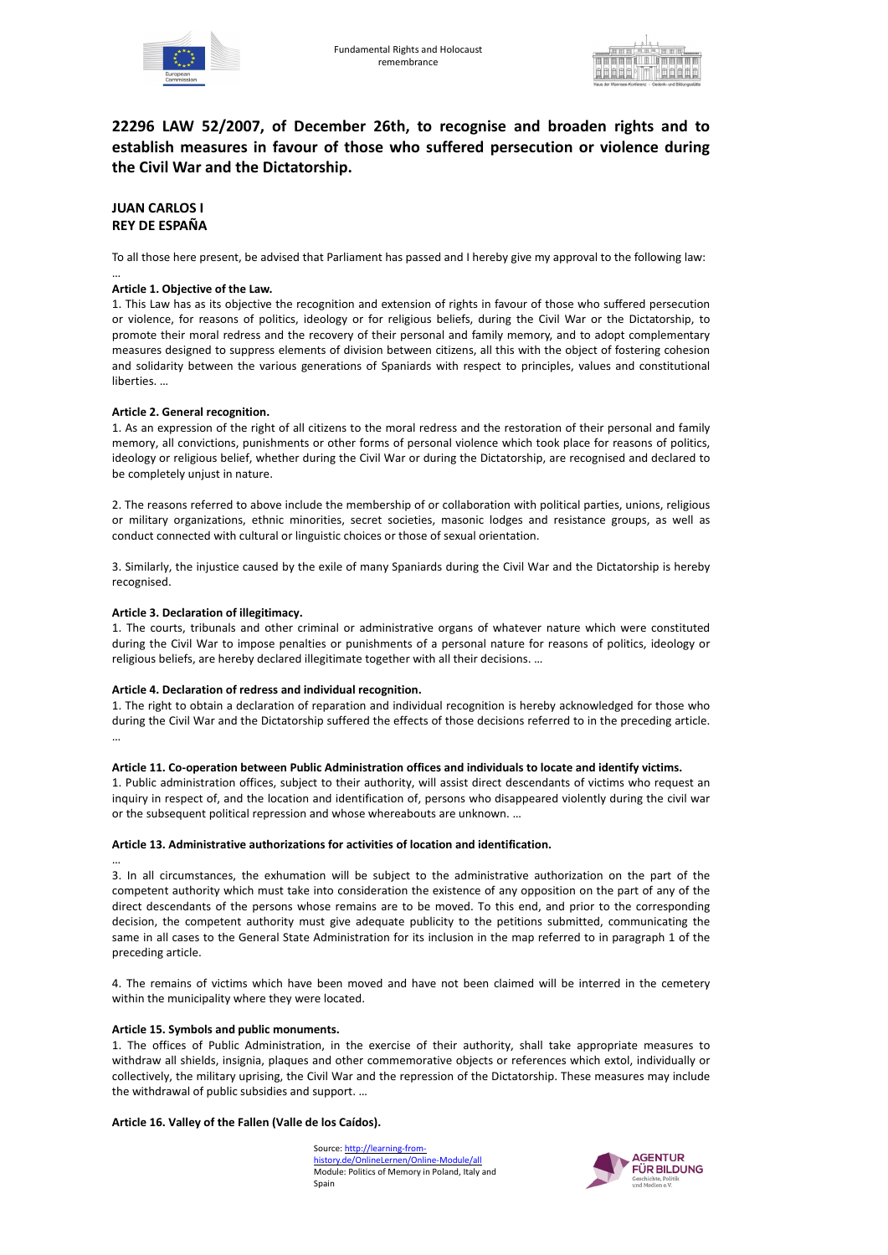



Source: http://learning-fromhistory.de/OnlineLernen/Online-Module/all Module: Politics of Memory in Poland, Italy and Spain



# **22296 LAW 52/2007, of December 26th, to recognise and broaden rights and to establish measures in favour of those who suffered persecution or violence during the Civil War and the Dictatorship.**

## **JUAN CARLOS I REY DE ESPAÑA**

To all those here present, be advised that Parliament has passed and I hereby give my approval to the following law:

#### … **Article 1. Objective of the Law.**

1. This Law has as its objective the recognition and extension of rights in favour of those who suffered persecution or violence, for reasons of politics, ideology or for religious beliefs, during the Civil War or the Dictatorship, to promote their moral redress and the recovery of their personal and family memory, and to adopt complementary measures designed to suppress elements of division between citizens, all this with the object of fostering cohesion and solidarity between the various generations of Spaniards with respect to principles, values and constitutional liberties. …

#### **Article 2. General recognition.**

1. As an expression of the right of all citizens to the moral redress and the restoration of their personal and family memory, all convictions, punishments or other forms of personal violence which took place for reasons of politics, ideology or religious belief, whether during the Civil War or during the Dictatorship, are recognised and declared to be completely unjust in nature.

2. The reasons referred to above include the membership of or collaboration with political parties, unions, religious or military organizations, ethnic minorities, secret societies, masonic lodges and resistance groups, as well as conduct connected with cultural or linguistic choices or those of sexual orientation.

3. Similarly, the injustice caused by the exile of many Spaniards during the Civil War and the Dictatorship is hereby recognised.

### **Article 3. Declaration of illegitimacy.**

1. The courts, tribunals and other criminal or administrative organs of whatever nature which were constituted during the Civil War to impose penalties or punishments of a personal nature for reasons of politics, ideology or religious beliefs, are hereby declared illegitimate together with all their decisions. …

### **Article 4. Declaration of redress and individual recognition.**

1. The right to obtain a declaration of reparation and individual recognition is hereby acknowledged for those who during the Civil War and the Dictatorship suffered the effects of those decisions referred to in the preceding article. …

#### **Article 11. Co-operation between Public Administration offices and individuals to locate and identify victims.**

1. Public administration offices, subject to their authority, will assist direct descendants of victims who request an inquiry in respect of, and the location and identification of, persons who disappeared violently during the civil war or the subsequent political repression and whose whereabouts are unknown. …

#### **Article 13. Administrative authorizations for activities of location and identification.**

… 3. In all circumstances, the exhumation will be subject to the administrative authorization on the part of the competent authority which must take into consideration the existence of any opposition on the part of any of the direct descendants of the persons whose remains are to be moved. To this end, and prior to the corresponding decision, the competent authority must give adequate publicity to the petitions submitted, communicating the same in all cases to the General State Administration for its inclusion in the map referred to in paragraph 1 of the

#### preceding article.

4. The remains of victims which have been moved and have not been claimed will be interred in the cemetery within the municipality where they were located.

#### **Article 15. Symbols and public monuments.**

1. The offices of Public Administration, in the exercise of their authority, shall take appropriate measures to withdraw all shields, insignia, plaques and other commemorative objects or references which extol, individually or collectively, the military uprising, the Civil War and the repression of the Dictatorship. These measures may include the withdrawal of public subsidies and support. …

**Article 16. Valley of the Fallen (Valle de los Caídos).**